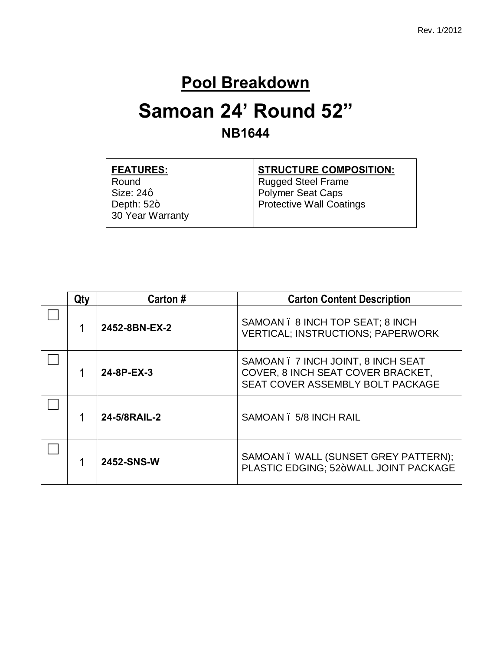#### **Pool Breakdown**

#### **Samoan 24' Round 52" NB1644**

| <b>FEATURES:</b> | <b>STRUCTURE COMPOSITION:</b>   |
|------------------|---------------------------------|
| Round            | Rugged Steel Frame              |
| Size: 24g        | Polymer Seat Caps               |
| Depth: $52+$     | <b>Protective Wall Coatings</b> |
| 30 Year Warranty |                                 |
|                  |                                 |

| Qty | Carton#                                | <b>Carton Content Description</b>                                                                           |
|-----|----------------------------------------|-------------------------------------------------------------------------------------------------------------|
|     | 2452-8BN-EX-2                          | SAMOAN . 8 INCH TOP SEAT; 8 INCH<br><b>VERTICAL; INSTRUCTIONS; PAPERWORK</b>                                |
|     | 24-8P-EX-3                             | SAMOAN . 7 INCH JOINT, 8 INCH SEAT<br>COVER, 8 INCH SEAT COVER BRACKET,<br>SEAT COVER ASSEMBLY BOLT PACKAGE |
|     | 24-5/8RAIL-2<br>SAMOAN . 5/8 INCH RAIL |                                                                                                             |
|     | 2452-SNS-W                             | SAMOAN. WALL (SUNSET GREY PATTERN);<br>PLASTIC EDGING: 52+WALL JOINT PACKAGE                                |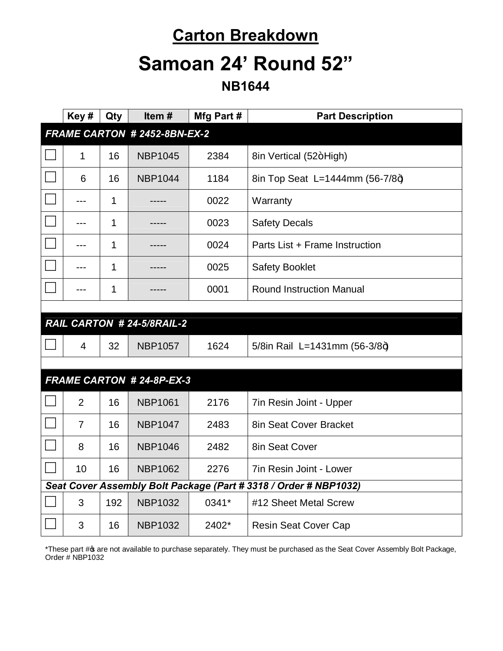### **Carton Breakdown**

### **Samoan 24' Round 52"**

**NB1644**

|                                                                  | Key#                         | Qty | Item#                      | Mfg Part # | <b>Part Description</b>         |  |
|------------------------------------------------------------------|------------------------------|-----|----------------------------|------------|---------------------------------|--|
|                                                                  | FRAME CARTON # 2452-8BN-EX-2 |     |                            |            |                                 |  |
|                                                                  | 1                            | 16  | <b>NBP1045</b>             | 2384       | 8in Vertical (52+High)          |  |
|                                                                  | 6                            | 16  | <b>NBP1044</b>             | 1184       | 8in Top Seat L=1444mm (56-7/8+) |  |
|                                                                  | ---                          | 1   |                            | 0022       | Warranty                        |  |
|                                                                  |                              | 1   |                            | 0023       | <b>Safety Decals</b>            |  |
|                                                                  | ---                          | 1   |                            | 0024       | Parts List + Frame Instruction  |  |
|                                                                  | ---                          | 1   |                            | 0025       | <b>Safety Booklet</b>           |  |
|                                                                  | ---                          | 1   |                            | 0001       | <b>Round Instruction Manual</b> |  |
|                                                                  |                              |     |                            |            |                                 |  |
|                                                                  |                              |     | RAIL CARTON # 24-5/8RAIL-2 |            |                                 |  |
|                                                                  | 4                            | 32  | <b>NBP1057</b>             | 1624       | 5/8in Rail L=1431mm (56-3/8+)   |  |
|                                                                  |                              |     |                            |            |                                 |  |
| <b>FRAME CARTON # 24-8P-EX-3</b>                                 |                              |     |                            |            |                                 |  |
|                                                                  | $\overline{2}$               | 16  | <b>NBP1061</b>             | 2176       | 7in Resin Joint - Upper         |  |
|                                                                  | $\overline{7}$               | 16  | <b>NBP1047</b>             | 2483       | 8in Seat Cover Bracket          |  |
|                                                                  | 8                            | 16  | <b>NBP1046</b>             | 2482       | 8in Seat Cover                  |  |
|                                                                  | 10                           | 16  | <b>NBP1062</b>             | 2276       | 7in Resin Joint - Lower         |  |
| Seat Cover Assembly Bolt Package (Part # 3318 / Order # NBP1032) |                              |     |                            |            |                                 |  |
|                                                                  | 3                            | 192 | <b>NBP1032</b>             | 0341*      | #12 Sheet Metal Screw           |  |
|                                                                  | 3                            | 16  | <b>NBP1032</b>             | 2402*      | <b>Resin Seat Cover Cap</b>     |  |

\*These part # are not available to purchase separately. They must be purchased as the Seat Cover Assembly Bolt Package, Order # NBP1032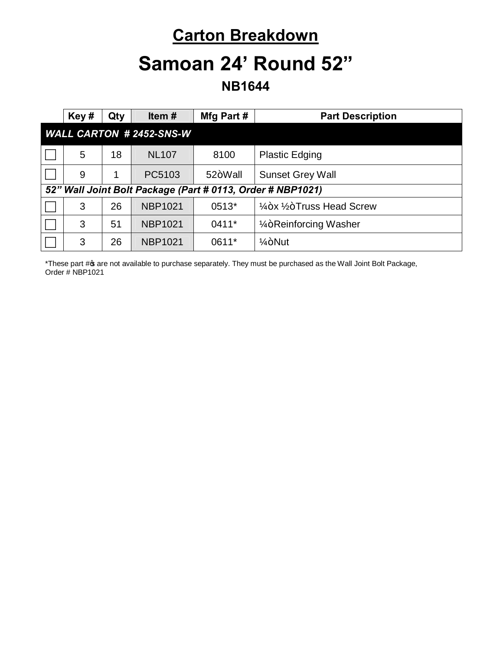### **Carton Breakdown**

## **Samoan 24' Round 52"**

**NB1644**

|                                | Key#                                                       | Qty | Item $#$       | Mfg Part# | <b>Part Description</b>                          |  |
|--------------------------------|------------------------------------------------------------|-----|----------------|-----------|--------------------------------------------------|--|
| <b>WALL CARTON #2452-SNS-W</b> |                                                            |     |                |           |                                                  |  |
|                                | 5                                                          | 18  | <b>NL107</b>   | 8100      | <b>Plastic Edging</b>                            |  |
|                                | 9                                                          |     | PC5103         | 52+Wall   | <b>Sunset Grey Wall</b>                          |  |
|                                | 52" Wall Joint Bolt Package (Part # 0113, Order # NBP1021) |     |                |           |                                                  |  |
|                                | 3                                                          | 26  | <b>NBP1021</b> | 0513*     | $\frac{1}{4}$ +x $\frac{1}{2}$ +Truss Head Screw |  |
|                                | 3                                                          | 51  | <b>NBP1021</b> | $0411*$   | 1/ <sub>4</sub> +Reinforcing Washer              |  |
|                                | 3                                                          | 26  | <b>NBP1021</b> | 0611*     | $1/4 + N$ ut                                     |  |

\*These part # are not available to purchase separately. They must be purchased as the Wall Joint Bolt Package, Order # NBP1021